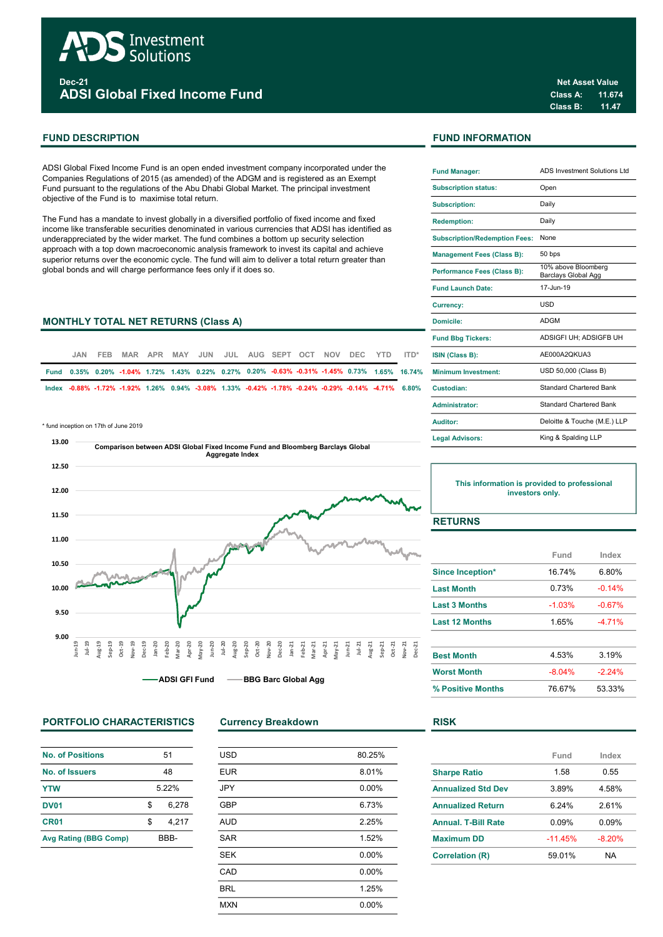

Dec-21 ADSI Global Fixed Income Fund

ADSI Global Fixed Income Fund is an open ended investment company incorporated under the Companies Regulations of 2015 (as amended) of the ADGM and is registered as an Exempt Fund pursuant to the regulations of the Abu Dhabi Global Market. The principal investment objective of the Fund is to maximise total return.

The Fund has a mandate to invest globally in a diversified portfolio of fixed income and fixed income like transferable securities denominated in various currencies that ADSI has identified as underappreciated by the wider market. The fund combines a bottom up security selection approach with a top down macroeconomic analysis framework to invest its capital and achieve superior returns over the economic cycle. The fund will aim to deliver a total return greater than global bonds and will charge performance fees only if it does so.

# **MONTHLY TOTAL NET RETURNS (Class A)**

| JAN. | FEB. |  |  |  |  |  | MAR APR MAY JUN JUL AUG SEPT OCT NOV DEC YTD ITD* |                                                                                                    | <b>ISIN (Class B):</b>                                                                                            |
|------|------|--|--|--|--|--|---------------------------------------------------|----------------------------------------------------------------------------------------------------|-------------------------------------------------------------------------------------------------------------------|
|      |      |  |  |  |  |  |                                                   |                                                                                                    | Fund 0.35% 0.20% -1.04% 1.72% 1.43% 0.22% 0.27% 0.20% -0.63% -0.31% -1.45% 0.73% 1.65% 16.74% Minimum Investment: |
|      |      |  |  |  |  |  |                                                   | lndex 0.88% -1.72% -1.92% 1.26% 0.94% -3.08% 1.33% -0.42% -1.78% -0.24% -0.29% -0.14% -4.71% 6.80% | Custodian:                                                                                                        |

\* fund inception on 17th of June 2019



# PORTFOLIO CHARACTERISTICS Currency Breakdown RISK

| <b>No. of Positions</b>      | 51   |       |  |
|------------------------------|------|-------|--|
| 48<br>No. of Issuers         |      |       |  |
| <b>YTW</b>                   | 522% |       |  |
| <b>DV01</b>                  | \$.  | 6.278 |  |
| CR <sub>01</sub>             | \$.  | 4.217 |  |
| <b>Avg Rating (BBG Comp)</b> | BBB- |       |  |

| <b>USD</b> | 80.25% |
|------------|--------|
| <b>EUR</b> | 8.01%  |
| <b>JPY</b> | 0.00%  |
| <b>GBP</b> | 6.73%  |
| <b>AUD</b> | 2.25%  |
| <b>SAR</b> | 1.52%  |
| <b>SEK</b> | 0.00%  |
| CAD        | 0.00%  |
| <b>BRL</b> | 1.25%  |
| <b>MXN</b> | 0.00%  |
|            |        |

# FUND DESCRIPTION FUND INFORMATION

| <b>Fund Manager:</b>                 | <b>ADS Investment Solutions Ltd</b>        |  |  |
|--------------------------------------|--------------------------------------------|--|--|
| <b>Subscription status:</b>          | Open                                       |  |  |
| <b>Subscription:</b>                 | Daily                                      |  |  |
| <b>Redemption:</b>                   | Daily                                      |  |  |
| <b>Subscription/Redemption Fees:</b> | None                                       |  |  |
| <b>Management Fees (Class B):</b>    | 50 bps                                     |  |  |
| Performance Fees (Class B):          | 10% above Bloomberg<br>Barclays Global Agg |  |  |
| <b>Fund Launch Date:</b>             | 17-Jun-19                                  |  |  |
| Currency:                            | USD                                        |  |  |
| Domicile:                            | <b>ADGM</b>                                |  |  |
| <b>Fund Bbg Tickers:</b>             | ADSIGFI UH; ADSIGFB UH                     |  |  |
| ISIN (Class B):                      | AE000A2OKUA3                               |  |  |
| <b>Minimum Investment:</b>           | USD 50,000 (Class B)                       |  |  |
| Custodian:                           | <b>Standard Chartered Bank</b>             |  |  |
| Administrator:                       | Standard Chartered Bank                    |  |  |
| <b>Auditor:</b>                      | Deloitte & Touche (M.E.) LLP               |  |  |
| <b>Legal Advisors:</b>               | King & Spalding LLP                        |  |  |

This information is provided to professional investors only.

# RETURNS

|                         | Fund     | Index    |
|-------------------------|----------|----------|
| <b>Since Inception*</b> | 16.74%   | 6.80%    |
| <b>Last Month</b>       | 0.73%    | $-0.14%$ |
| <b>Last 3 Months</b>    | $-1.03%$ | $-0.67%$ |
| <b>Last 12 Months</b>   | 1.65%    | $-471%$  |
| <b>Best Month</b>       | 4.53%    | 3.19%    |
| <b>Worst Month</b>      | $-8.04%$ | $-2.24%$ |
| % Positive Months       | 76.67%   | 53.33%   |

|                            | Fund      | Index     |
|----------------------------|-----------|-----------|
| <b>Sharpe Ratio</b>        | 1.58      | 0.55      |
| <b>Annualized Std Dev</b>  | 3.89%     | 4.58%     |
| <b>Annualized Return</b>   | 6.24%     | 2.61%     |
| <b>Annual, T-Bill Rate</b> | 0.09%     | 0.09%     |
| <b>Maximum DD</b>          | $-11.45%$ | $-8.20%$  |
| <b>Correlation (R)</b>     | 59.01%    | <b>NA</b> |
|                            |           |           |